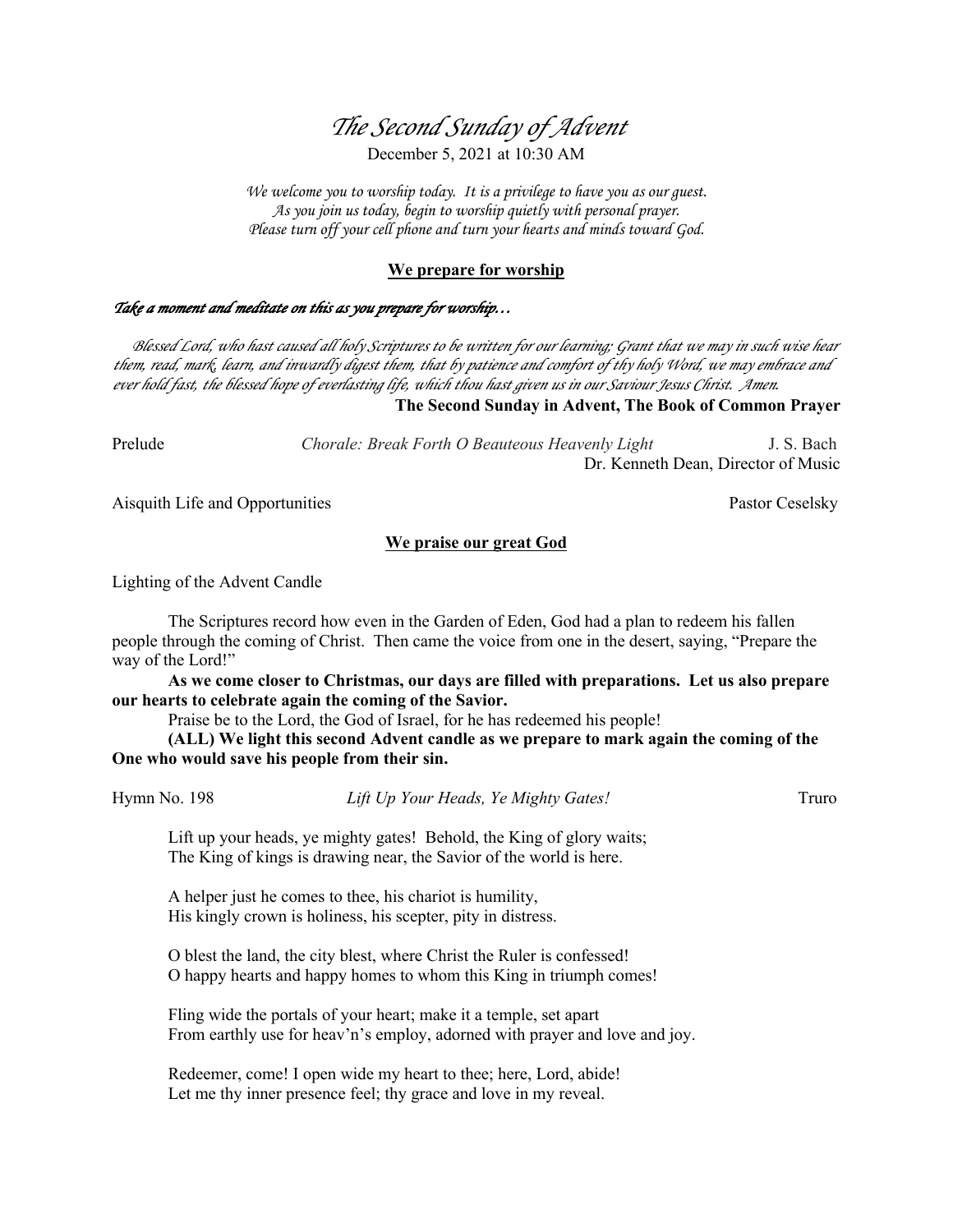# *The Second Sunday of Advent* December 5, 2021 at 10:30 AM

*We welcome you to worship today. It is a privilege to have you as our guest. As you join us today, begin to worship quietly with personal prayer. Please turn off your cell phone and turn your hearts and minds toward God.*

## **We prepare for worship**

## *Take a moment and meditate on this as you prepare for worship…*

 *Blessed Lord, who hast caused all holy Scriptures to be written for our learning; Grant that we may in such wise hear them, read, mark, learn, and inwardly digest them, that by patience and comfort of thy holy Word, we may embrace and ever hold fast, the blessed hope of everlasting life, which thou hast given us in our Saviour Jesus Christ. Amen.*

**The Second Sunday in Advent, The Book of Common Prayer**

Prelude *Chorale: Break Forth O Beauteous Heavenly Light* J. S. Bach Dr. Kenneth Dean, Director of Music

Aisquith Life and Opportunities **Pastor Ceselsky** Pastor Ceselsky

## **We praise our great God**

Lighting of the Advent Candle

The Scriptures record how even in the Garden of Eden, God had a plan to redeem his fallen people through the coming of Christ. Then came the voice from one in the desert, saying, "Prepare the way of the Lord!"

**As we come closer to Christmas, our days are filled with preparations. Let us also prepare our hearts to celebrate again the coming of the Savior.**

Praise be to the Lord, the God of Israel, for he has redeemed his people!

**(ALL) We light this second Advent candle as we prepare to mark again the coming of the One who would save his people from their sin.**

Hymn No. 198 *Lift Up Your Heads, Ye Mighty Gates!* Truro

Lift up your heads, ye mighty gates! Behold, the King of glory waits; The King of kings is drawing near, the Savior of the world is here.

A helper just he comes to thee, his chariot is humility, His kingly crown is holiness, his scepter, pity in distress.

O blest the land, the city blest, where Christ the Ruler is confessed! O happy hearts and happy homes to whom this King in triumph comes!

Fling wide the portals of your heart; make it a temple, set apart From earthly use for heav'n's employ, adorned with prayer and love and joy.

Redeemer, come! I open wide my heart to thee; here, Lord, abide! Let me thy inner presence feel; thy grace and love in my reveal.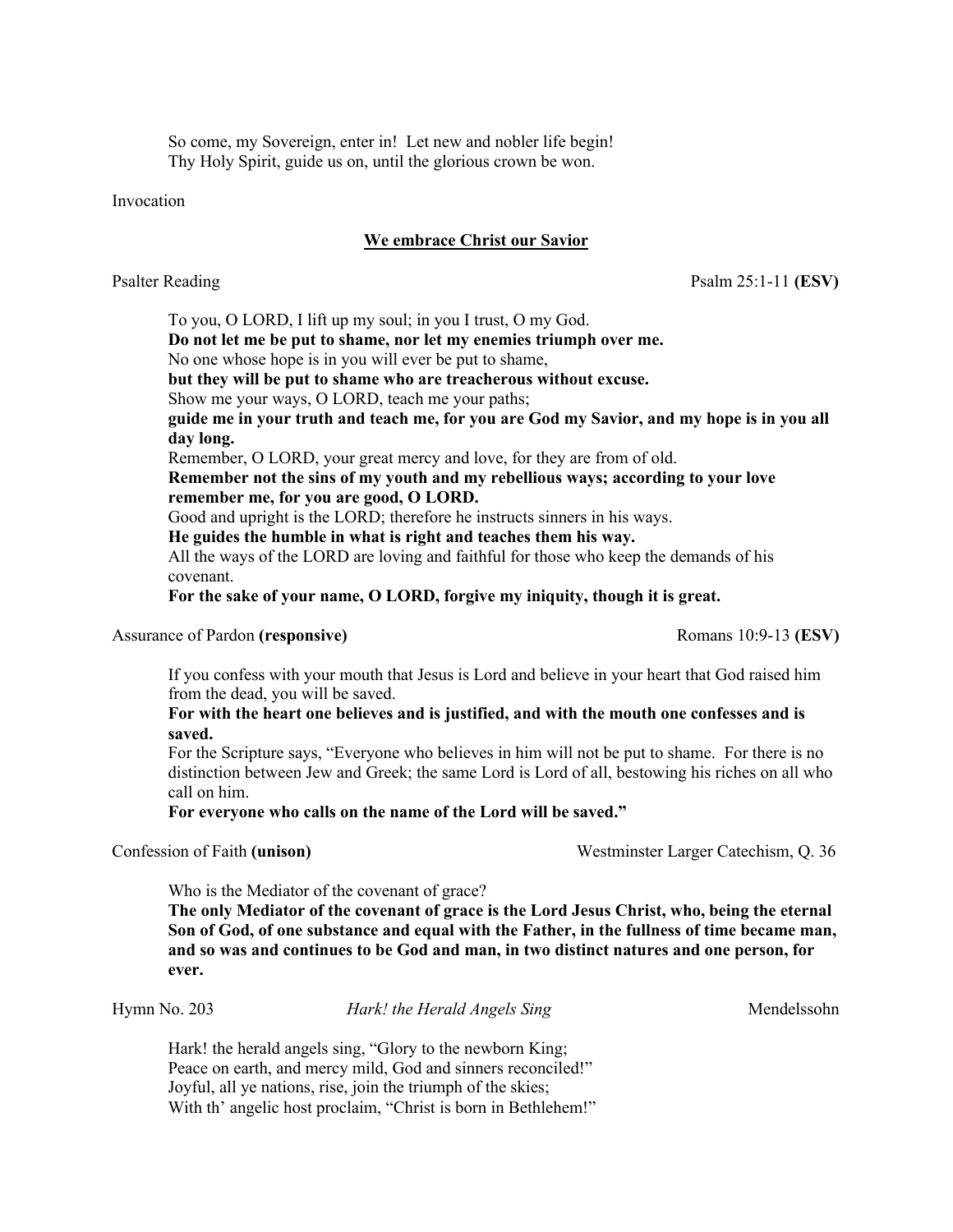So come, my Sovereign, enter in! Let new and nobler life begin! Thy Holy Spirit, guide us on, until the glorious crown be won.

Invocation

## **We embrace Christ our Savior**

Psalter ReadingPsalm 25:1-11 **(ESV)**

To you, O LORD, I lift up my soul; in you I trust, O my God.

**Do not let me be put to shame, nor let my enemies triumph over me.**

No one whose hope is in you will ever be put to shame,

**but they will be put to shame who are treacherous without excuse.**

Show me your ways, O LORD, teach me your paths;

**guide me in your truth and teach me, for you are God my Savior, and my hope is in you all day long.**

Remember, O LORD, your great mercy and love, for they are from of old.

**Remember not the sins of my youth and my rebellious ways; according to your love remember me, for you are good, O LORD.**

Good and upright is the LORD; therefore he instructs sinners in his ways.

**He guides the humble in what is right and teaches them his way.**

All the ways of the LORD are loving and faithful for those who keep the demands of his covenant.

**For the sake of your name, O LORD, forgive my iniquity, though it is great.**

Assurance of Pardon (responsive) **Romans 10:9-13 (ESV)** Romans 10:9-13 (ESV)

If you confess with your mouth that Jesus is Lord and believe in your heart that God raised him from the dead, you will be saved.

**For with the heart one believes and is justified, and with the mouth one confesses and is saved.**

For the Scripture says, "Everyone who believes in him will not be put to shame. For there is no distinction between Jew and Greek; the same Lord is Lord of all, bestowing his riches on all who call on him.

**For everyone who calls on the name of the Lord will be saved."**

Confession of Faith **(unison)** Westminster Larger Catechism, Q. 36

Who is the Mediator of the covenant of grace?

**The only Mediator of the covenant of grace is the Lord Jesus Christ, who, being the eternal Son of God, of one substance and equal with the Father, in the fullness of time became man, and so was and continues to be God and man, in two distinct natures and one person, for ever.**

Hymn No. 203 *Hark! the Herald Angels Sing* Mendelssohn

Hark! the herald angels sing, "Glory to the newborn King; Peace on earth, and mercy mild, God and sinners reconciled!" Joyful, all ye nations, rise, join the triumph of the skies; With th' angelic host proclaim, "Christ is born in Bethlehem!"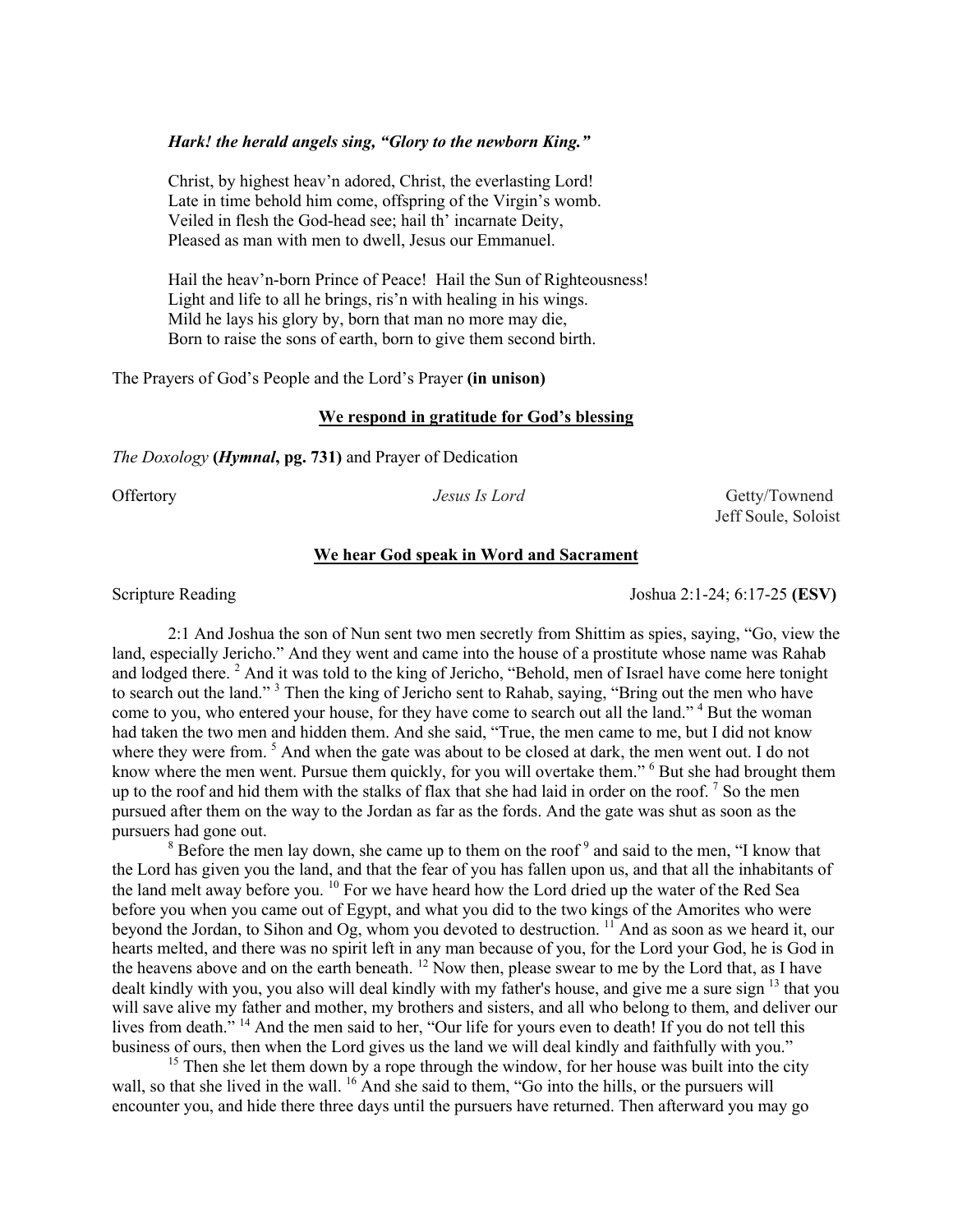## *Hark! the herald angels sing, "Glory to the newborn King."*

Christ, by highest heav'n adored, Christ, the everlasting Lord! Late in time behold him come, offspring of the Virgin's womb. Veiled in flesh the God-head see; hail th' incarnate Deity, Pleased as man with men to dwell, Jesus our Emmanuel.

Hail the heav'n-born Prince of Peace! Hail the Sun of Righteousness! Light and life to all he brings, ris'n with healing in his wings. Mild he lays his glory by, born that man no more may die, Born to raise the sons of earth, born to give them second birth.

The Prayers of God's People and the Lord's Prayer **(in unison)** 

#### **We respond in gratitude for God's blessing**

*The Doxology* **(***Hymnal***, pg. 731)** and Prayer of Dedication

Offertory *Jesus Is Lord* Getty/Townend Jeff Soule, Soloist

## **We hear God speak in Word and Sacrament**

Scripture Reading Joshua 2:1-24; 6:17-25 **(ESV)** 

2:1 And Joshua the son of Nun sent two men secretly from Shittim as spies, saying, "Go, view the land, especially Jericho." And they went and came into the house of a prostitute whose name was Rahab and lodged there.<sup>2</sup> And it was told to the king of Jericho, "Behold, men of Israel have come here tonight to search out the land."<sup>3</sup> Then the king of Jericho sent to Rahab, saying, "Bring out the men who have come to you, who entered your house, for they have come to search out all the land."<sup>4</sup> But the woman had taken the two men and hidden them. And she said, "True, the men came to me, but I did not know where they were from.  $5$  And when the gate was about to be closed at dark, the men went out. I do not know where the men went. Pursue them quickly, for you will overtake them." <sup>6</sup> But she had brought them up to the roof and hid them with the stalks of flax that she had laid in order on the roof.  $\frac{7}{1}$  So the men pursued after them on the way to the Jordan as far as the fords. And the gate was shut as soon as the pursuers had gone out.

 $8$  Before the men lay down, she came up to them on the roof  $9$  and said to the men, "I know that the Lord has given you the land, and that the fear of you has fallen upon us, and that all the inhabitants of the land melt away before you. <sup>10</sup> For we have heard how the Lord dried up the water of the Red Sea before you when you came out of Egypt, and what you did to the two kings of the Amorites who were beyond the Jordan, to Sihon and Og, whom you devoted to destruction. 11 And as soon as we heard it, our hearts melted, and there was no spirit left in any man because of you, for the Lord your God, he is God in the heavens above and on the earth beneath. <sup>12</sup> Now then, please swear to me by the Lord that, as I have dealt kindly with you, you also will deal kindly with my father's house, and give me a sure sign <sup>13</sup> that you will save alive my father and mother, my brothers and sisters, and all who belong to them, and deliver our lives from death." <sup>14</sup> And the men said to her, "Our life for yours even to death! If you do not tell this business of ours, then when the Lord gives us the land we will deal kindly and faithfully with you."

<sup>15</sup> Then she let them down by a rope through the window, for her house was built into the city wall, so that she lived in the wall. <sup>16</sup> And she said to them, "Go into the hills, or the pursuers will encounter you, and hide there three days until the pursuers have returned. Then afterward you may go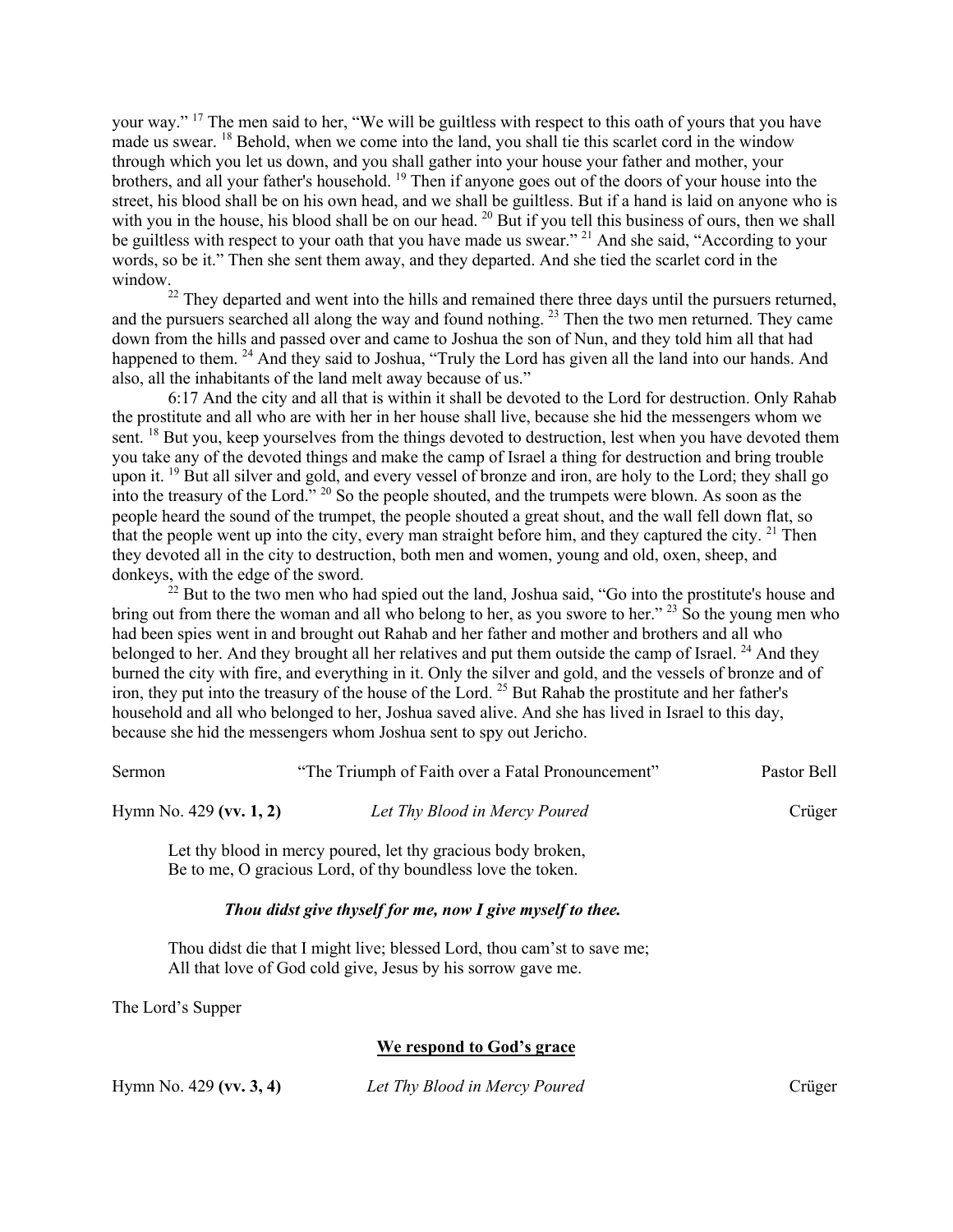your way." 17 The men said to her, "We will be guiltless with respect to this oath of yours that you have made us swear. <sup>18</sup> Behold, when we come into the land, you shall tie this scarlet cord in the window through which you let us down, and you shall gather into your house your father and mother, your brothers, and all your father's household. 19 Then if anyone goes out of the doors of your house into the street, his blood shall be on his own head, and we shall be guiltless. But if a hand is laid on anyone who is with you in the house, his blood shall be on our head. <sup>20</sup> But if you tell this business of ours, then we shall be guiltless with respect to your oath that you have made us swear." 21 And she said, "According to your words, so be it." Then she sent them away, and they departed. And she tied the scarlet cord in the window.

 $22$  They departed and went into the hills and remained there three days until the pursuers returned, and the pursuers searched all along the way and found nothing. <sup>23</sup> Then the two men returned. They came down from the hills and passed over and came to Joshua the son of Nun, and they told him all that had happened to them. <sup>24</sup> And they said to Joshua, "Truly the Lord has given all the land into our hands. And also, all the inhabitants of the land melt away because of us."

6:17 And the city and all that is within it shall be devoted to the Lord for destruction. Only Rahab the prostitute and all who are with her in her house shall live, because she hid the messengers whom we sent. <sup>18</sup> But you, keep yourselves from the things devoted to destruction, lest when you have devoted them you take any of the devoted things and make the camp of Israel a thing for destruction and bring trouble upon it. <sup>19</sup> But all silver and gold, and every vessel of bronze and iron, are holy to the Lord; they shall go into the treasury of the Lord." <sup>20</sup> So the people shouted, and the trumpets were blown. As soon as the people heard the sound of the trumpet, the people shouted a great shout, and the wall fell down flat, so that the people went up into the city, every man straight before him, and they captured the city.  $21$  Then they devoted all in the city to destruction, both men and women, young and old, oxen, sheep, and donkeys, with the edge of the sword.

 $^{22}$  But to the two men who had spied out the land, Joshua said, "Go into the prostitute's house and bring out from there the woman and all who belong to her, as you swore to her." <sup>23</sup> So the young men who had been spies went in and brought out Rahab and her father and mother and brothers and all who belonged to her. And they brought all her relatives and put them outside the camp of Israel.  $^{24}$  And they burned the city with fire, and everything in it. Only the silver and gold, and the vessels of bronze and of iron, they put into the treasury of the house of the Lord. 25 But Rahab the prostitute and her father's household and all who belonged to her, Joshua saved alive. And she has lived in Israel to this day, because she hid the messengers whom Joshua sent to spy out Jericho.

| <b>Sermon</b>             | "The Triumph of Faith over a Fatal Pronouncement"            | Pastor Bell |
|---------------------------|--------------------------------------------------------------|-------------|
| Hymn No. $429$ (vv. 1, 2) | Let Thy Blood in Mercy Poured                                | Crüger      |
|                           | Let thy blood in mercy poured, let thy gracious body broken. |             |

Let thy blood in mercy poured, let thy gracious body broken, Be to me, O gracious Lord, of thy boundless love the token.

## *Thou didst give thyself for me, now I give myself to thee.*

Thou didst die that I might live; blessed Lord, thou cam'st to save me; All that love of God cold give, Jesus by his sorrow gave me.

The Lord's Supper

## **We respond to God's grace**

Hymn No. 429 **(vv. 3, 4)** *Let Thy Blood in Mercy Poured* Crüger